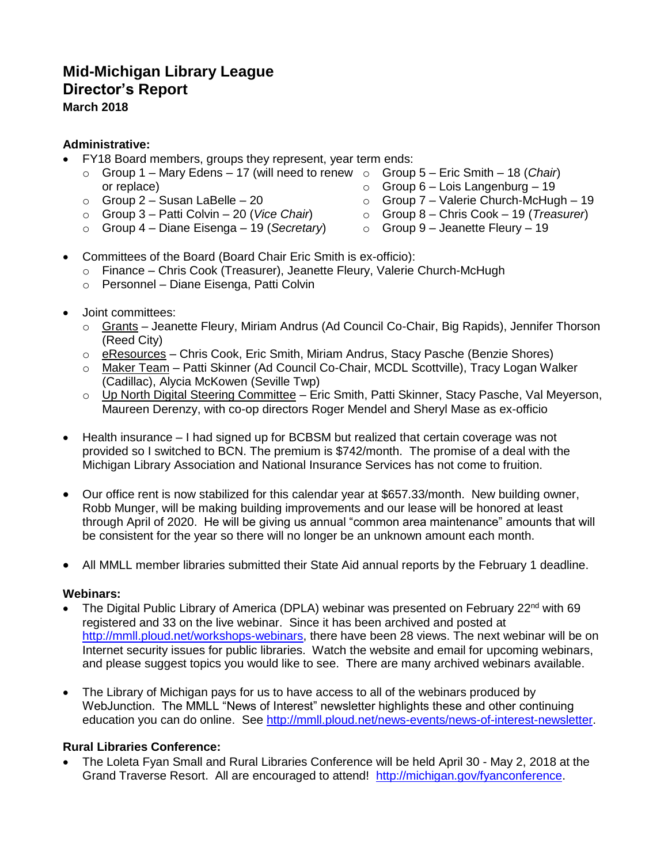# **Mid-Michigan Library League Director's Report March 2018**

## **Administrative:**

- FY18 Board members, groups they represent, year term ends:
	- o Group 1 Mary Edens 17 (will need to renew o Group 5 Eric Smith 18 (*Chair*) or replace)
	- o Group 2 Susan LaBelle 20
	- o Group 3 Patti Colvin 20 (*Vice Chair*)
	-
- 
- $\circ$  Group 6 Lois Langenburg 19
- o Group 7 Valerie Church-McHugh 19
- o Group 8 Chris Cook 19 (*Treasurer*)
- o Group 4 Diane Eisenga 19 (*Secretary*)
- $\circ$  Group 9 Jeanette Fleury 19
- Committees of the Board (Board Chair Eric Smith is ex-officio):
	- o Finance Chris Cook (Treasurer), Jeanette Fleury, Valerie Church-McHugh
	- o Personnel Diane Eisenga, Patti Colvin
- Joint committees:
	- o Grants Jeanette Fleury, Miriam Andrus (Ad Council Co-Chair, Big Rapids), Jennifer Thorson (Reed City)
	- $\circ$  eResources Chris Cook, Eric Smith, Miriam Andrus, Stacy Pasche (Benzie Shores)
	- o Maker Team Patti Skinner (Ad Council Co-Chair, MCDL Scottville), Tracy Logan Walker (Cadillac), Alycia McKowen (Seville Twp)
	- o Up North Digital Steering Committee Eric Smith, Patti Skinner, Stacy Pasche, Val Meyerson, Maureen Derenzy, with co-op directors Roger Mendel and Sheryl Mase as ex-officio
- Health insurance I had signed up for BCBSM but realized that certain coverage was not provided so I switched to BCN. The premium is \$742/month. The promise of a deal with the Michigan Library Association and National Insurance Services has not come to fruition.
- Our office rent is now stabilized for this calendar year at \$657.33/month. New building owner, Robb Munger, will be making building improvements and our lease will be honored at least through April of 2020. He will be giving us annual "common area maintenance" amounts that will be consistent for the year so there will no longer be an unknown amount each month.
- All MMLL member libraries submitted their State Aid annual reports by the February 1 deadline.

## **Webinars:**

- The Digital Public Library of America (DPLA) webinar was presented on February 22<sup>nd</sup> with 69 registered and 33 on the live webinar. Since it has been archived and posted at [http://mmll.ploud.net/workshops-webinars,](http://mmll.ploud.net/workshops-webinars) there have been 28 views. The next webinar will be on Internet security issues for public libraries. Watch the website and email for upcoming webinars, and please suggest topics you would like to see. There are many archived webinars available.
- The Library of Michigan pays for us to have access to all of the webinars produced by WebJunction. The MMLL "News of Interest" newsletter highlights these and other continuing education you can do online. See [http://mmll.ploud.net/news-events/news-of-interest-newsletter.](http://mmll.ploud.net/news-events/news-of-interest-newsletter)

## **Rural Libraries Conference:**

 The Loleta Fyan Small and Rural Libraries Conference will be held April 30 - May 2, 2018 at the Grand Traverse Resort. All are encouraged to attend! [http://michigan.gov/fyanconference.](http://michigan.gov/fyanconference)